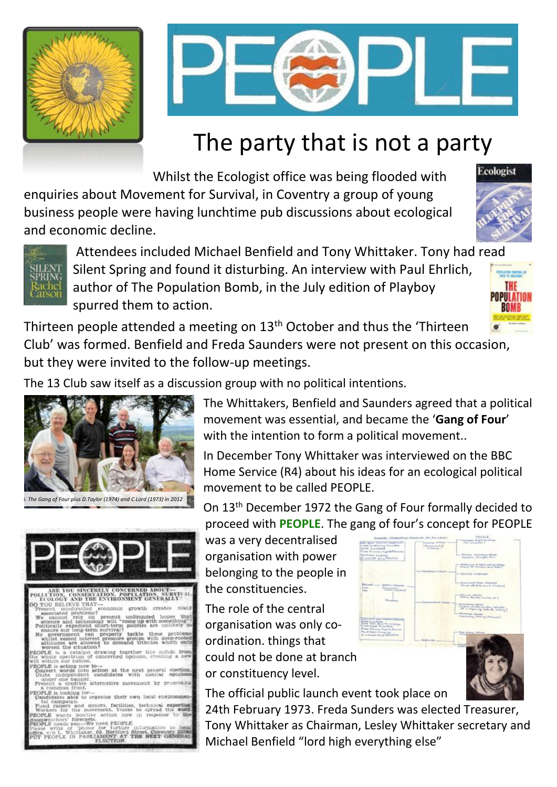



# The party that is not a party

Whilst the Ecologist office was being flooded with enquiries about Movement for Survival, in Coventry a group of young business people were having lunchtime pub discussions about ecological and economic decline.

Thirteen people attended a meeting on 13<sup>th</sup> October and thus the 'Thirteen Club' was formed. Benfield and Freda Saunders were not present on this occasion, but they were invited to the follow-up meetings.



The 13 Club saw itself as a discussion group with no political intentions.

The Whittakers, Benfield and Saunders agreed that a political movement was essential, and became the '**Gang of Four**' with the intention to form a political movement..

In December Tony Whittaker was interviewed on the BBC Home Service (R4) about his ideas for an ecological political movement to be called PEOPLE.

On 13th December 1972 the Gang of Four formally decided to proceed with **PEOPLE**. The gang of four's concept for PEOPLE

was a very decentralised organisation with power belonging to the people in the constituencies. The role of the central organisation was only coordination. things that could not be done at branch or constituency level. The official public launch event took place on 24th February 1973. Freda Sunders was elected Treasurer, Tony Whittaker as Chairman, Lesley Whittaker secretary and Michael Benfield "lord high everything else"





Ecologist

| PHLL IIVA, COASBRIALIUM, FOFULALIUM, SEBIED<br>ECOLOGY AND THE ENVIRONMENT GENERALLY:       |
|---------------------------------------------------------------------------------------------|
| DO YOU BELIEVE THAT-                                                                        |
| Present misdirected economic growth creates many                                            |
| associated problems?                                                                        |
| We cannot rely on present unfounded hopes that                                              |
| science and technology will "come up with something"?                                       |
| Politically expedient short-term policies are unlikely to                                   |
| ensure our long-term survival?<br>No government can properly tackle these problems          |
| whilst vested interest pressure groups with deep-rooted                                     |
| attitudes are allowed to demand tributes which only                                         |
| worsen the situation?                                                                       |
| PEOPLE is a catalyst drawing together like minds from                                       |
| the whole spectrum of concerned opinion, creating a new                                     |
| will within our nation.                                                                     |
| PEOPLE is acting now to-                                                                    |
| Convert words into action at the next general election.                                     |
| Unite independent candidates with similar opinions                                          |
| under one banner.<br>Present a credible alternative movement by promoting                   |
| a common front.                                                                             |
| PEOPLE is looking for-                                                                      |
| Candidates able to organise their own local environmen-                                     |
| tal campaign.                                                                               |
| Fund raisers and donors, facilities, technical expertised                                   |
| Workers for the movement, Voices to spread the word                                         |
| PEOPLE wants positive action now in response to the                                         |
| doomwatchers' forecasts.                                                                    |
| PEOPLE needs you-We need PEOPLE.<br>Please write or 'phone for further information to local |
| office, c/o L. Whittaker, 69. Hertford Street, Coventry 225                                 |
| PUT PEOPLE IN PARLIAMENT AT THE NEXT GENERAL                                                |
| FLECTION.                                                                                   |
|                                                                                             |
|                                                                                             |





*i. The Gang of Four plus D.Taylor (1974) and C.Lord (1973) in 2012*

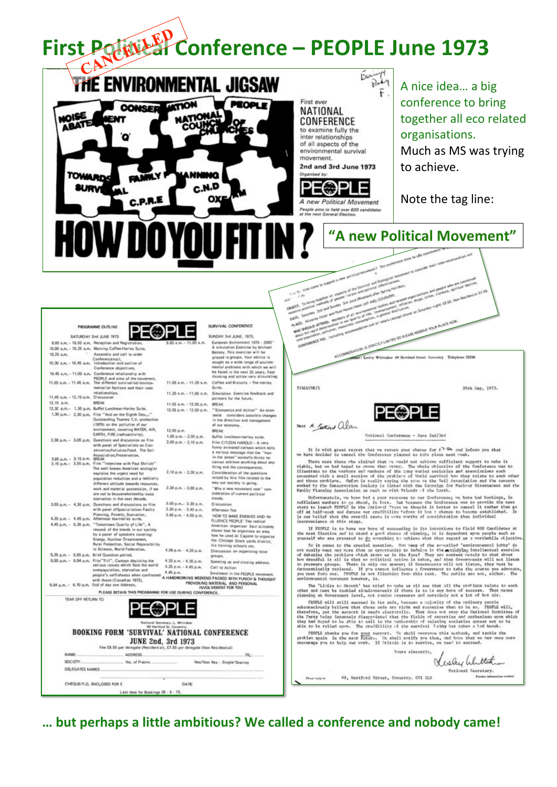# First Potular Conference - PEOPLE June 1973



So it comes to the crucial question. However, where were they regard 'environmental looking one really was engineering to include the actual of the actual of the action of debating the problems which stree us in the other you must form one. IFOPLE is not flinching from this took. The public are not, either. The environmental novement however, is.

The 'Linics to Grouth' has tried to make us all see that all the problems relate to each other and must be tockled simultaneously if there is to be any hore of success. That news

| TEAR OFF RETURN TO         |                                                                                                                                                  |                              |      |
|----------------------------|--------------------------------------------------------------------------------------------------------------------------------------------------|------------------------------|------|
|                            | National Secretary, L. Mhittaker<br>69 Hartford St. Coventry.<br><b>BOOKING FORM 'SURVIVAL' NATIONAL CONFERENCE</b><br><b>JUNE 2nd, 3rd 1973</b> |                              |      |
|                            | Fee £9.50 per delegate (Residential), £7.50 per delegate (Non Residential)                                                                       |                              |      |
| NAME:                      | ADDRESS.                                                                                                                                         |                              | TBL: |
| SOCIETY:                   | No. of Places.                                                                                                                                   | Res/Non Res : Single/Sharing |      |
| <b>DELEGATES NAMES</b>     |                                                                                                                                                  |                              |      |
| CHEQUE/P.O. ENCLOSED FOR E |                                                                                                                                                  | DATE                         |      |

 $4.06$  p.m. -  $4.20$  p.m.

4.20 р.м. - 4.35 р.м.

4.35 р.м. - 4,45 р.м.

proportion, turn when confronted 4.45 p.m.<br>propie's selfisheess when confronted A HARDRORKING WEEKEND PACKED WITH PUNCH & THOUGHT

Discussion on organizing local

Summing up and closing address.

proups.

Catt to Action

PROVOKING MATERIAL AND PERSONAL

in Science, World Federation.

overspoulation, starvation and

5.35 p.m. - 5.55 p.m. Brief Question period.

6.04 p.m. - 6.10 p.m. End of day one Address.

 $5.55$  p.m.  $+ 6.04$  p.m. Film<sup>12</sup>Tilt,", Cartoon depicting the serious values which face the world

planning at Government level, not random pressures and certainly not a lot of bot air.

PEOPLE will still succeed in its ends, because a injerity of the ordinary people subconsciously believe that those ends are right and recognise that to be so. PEOPLE will, therefore, get the surpert it ments electorally. That does not atop the Pational Committee of the Pations of the Pations of the Pa of.

PHOTLE thanks you for your support. We shall overcome this suthock, and tackle the<br>problem again in the mear future. We shall notify you then, and hope that we may once more<br>encourage you to help our work. If Prizain is to

Yours sincerely, Visley Whittan

Mational Secretary. Factor inf

69, Sertferd Street, Coventry, CVI 113

... but perhaps a little ambitious? We called a conference and nobody came!

Please topin to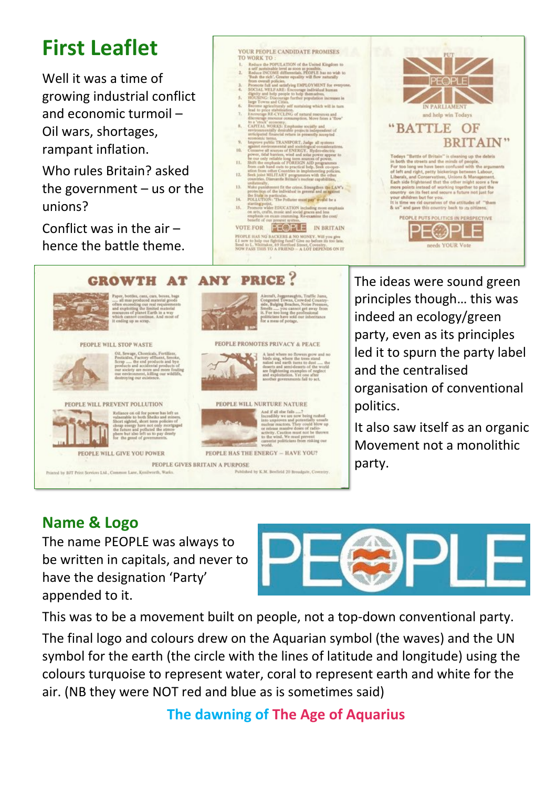## **First Leaflet**

Well it was a time of growing industrial conflict and economic turmoil – Oil wars, shortages, rampant inflation.

Who rules Britain? asked the government  $-$  us or the unions?

Conflict was in the air – hence the battle theme.

#### YOUR PEOPLE CANDIDATE PROMISES TO WORK TO

- Reduce the POPULATION of the United Kingdom to
- 
- 
- 
- 
- 
- $7.$
- WORK TO :<br>
Reduce the POPULATION of the United Kingdom to<br>
Reduce the POPULATION of the United Kingdom to<br>
Tachote INCOME differentials, PEOPLE has no wish to<br>
Tachote INCOME differentials, PEOPLE has no wish to<br>
Tach the
- 9. TO.
- $11.$
- $12.$
- 
- 11.
- 14. 15.
- countries. Diamantle Britain's nuclear capabilities,<br>
undustrially,<br>
Make punchment fit the crime. Strengthen the LAW's<br>
protection of the individual in general and as spaint<br>
Protection of the individual<br>
POLLUTION: The P

VOTE FOR **FEOPLE** IN BRITAIN PEOPLE HAS NOT BACKERS A NO MONEY. Will you give  $L1$  now to help our fighting fand in Corollate Sensity (and the southern of the sensity of  $\sim$  100  $\mu$  m s).



#### **PRICE? ANY GROWTH AT**



 $\begin{tabular}{l} \textbf{Faper, bottles, can, care, boxes, bags} \\ ... & all most proposed material goods of the measurement, respectively.\\ and exploiting the limited natural results of planet. Each is a way, which can not contain. And most of it ending up as very. \end{tabular}$ 

#### PEOPLE WILL STOP WASTE



Olt, Sewage, Chemicala, Fertilizer,<br>Olt, Sewage, Chemicala, Fertilizer,<br>Festivides, Factory effluent, Smoke,<br>Scrap ..... the end products and bye<br>products and accidental products of<br>our environment, killing our widtlife,<br>d

#### PEOPLE WILL PREVENT POLLUTION

Printed by BJT Print Services Ltd., Commun Lane, Kenilworth, Warks.



Reliance on oil for power has left us vulnerable to both Sheiks and miners.<br>Short sighted, short term policies of cheap energy have not only mortgaped the future and polluted the atmosphere but also left us to pay dearly

#### PEOPLE WILL GIVE YOU POWER



Aineraft, Juggenaughts, Traffic Jams,<br>Congested Towns, Coowded Country-<br>side, Bulging Beaches, Noise Pressure,<br>Smells ...........you cannot get usery from<br>It. For two long the professional politicians have sold our inherit

#### PEOPLE PROMOTES PRIVACY & PEACE



A land where no flowers gow and no biefs sing, where the trees stand<br>raiked and earth turns to dust ..... the deart is and raiked and earth turns to dust ..... the<br>deart and sure dependent of the world<br>are frightening exa

## PEOPLE WILL NURTURE NATURE And if all the fails  $\dots$ ."<br>Incredibly we are now being roabed into unproven and potentially use<br>an nuclear machine, They could blow up or release massive dozer of radio-<br>netwity. Cartison must not be thrown to the wind.

orld. PEOPLE HAS THE ENERGY - HAVE YOU?

PEOPLE GIVES BRITAIN A PURPOSE

Published by K.M. Benfield 20 Broadgate, Coventry.

The ideas were sound green principles though… this was indeed an ecology/green party, even as its principles led it to spurn the party label and the centralised organisation of conventional politics.

It also saw itself as an organic Movement not a monolithic party.

### **Name & Logo**

The name PEOPLE was always to be written in capitals, and never to have the designation 'Party' appended to it.



This was to be a movement built on people, not a top-down conventional party.

The final logo and colours drew on the Aquarian symbol (the waves) and the UN symbol for the earth (the circle with the lines of latitude and longitude) using the colours turquoise to represent water, coral to represent earth and white for the air. (NB they were NOT red and blue as is sometimes said)

**The dawning of The Age of Aquarius**